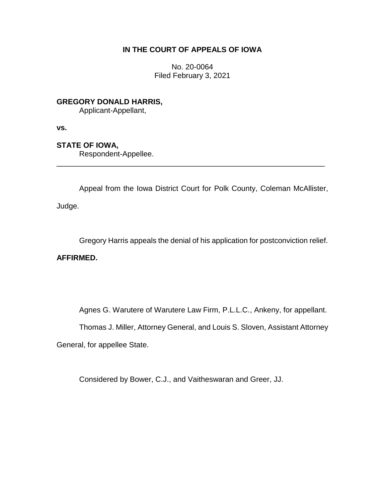## **IN THE COURT OF APPEALS OF IOWA**

No. 20-0064 Filed February 3, 2021

**GREGORY DONALD HARRIS,**

Applicant-Appellant,

**vs.**

**STATE OF IOWA,**

Respondent-Appellee.

Appeal from the Iowa District Court for Polk County, Coleman McAllister,

\_\_\_\_\_\_\_\_\_\_\_\_\_\_\_\_\_\_\_\_\_\_\_\_\_\_\_\_\_\_\_\_\_\_\_\_\_\_\_\_\_\_\_\_\_\_\_\_\_\_\_\_\_\_\_\_\_\_\_\_\_\_\_\_

Judge.

Gregory Harris appeals the denial of his application for postconviction relief.

**AFFIRMED.**

Agnes G. Warutere of Warutere Law Firm, P.L.L.C., Ankeny, for appellant.

Thomas J. Miller, Attorney General, and Louis S. Sloven, Assistant Attorney

General, for appellee State.

Considered by Bower, C.J., and Vaitheswaran and Greer, JJ.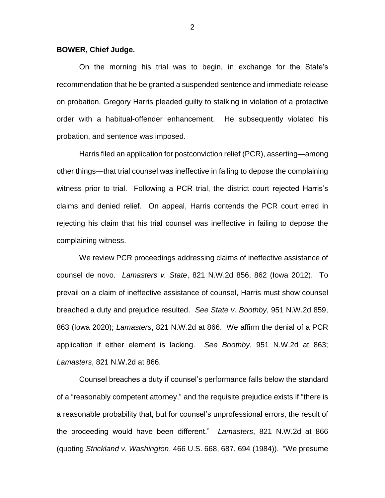## **BOWER, Chief Judge.**

On the morning his trial was to begin, in exchange for the State's recommendation that he be granted a suspended sentence and immediate release on probation, Gregory Harris pleaded guilty to stalking in violation of a protective order with a habitual-offender enhancement. He subsequently violated his probation, and sentence was imposed.

Harris filed an application for postconviction relief (PCR), asserting—among other things—that trial counsel was ineffective in failing to depose the complaining witness prior to trial. Following a PCR trial, the district court rejected Harris's claims and denied relief. On appeal, Harris contends the PCR court erred in rejecting his claim that his trial counsel was ineffective in failing to depose the complaining witness.

We review PCR proceedings addressing claims of ineffective assistance of counsel de novo. *Lamasters v. State*, 821 N.W.2d 856, 862 (Iowa 2012). To prevail on a claim of ineffective assistance of counsel, Harris must show counsel breached a duty and prejudice resulted. *See State v. Boothby*, 951 N.W.2d 859, 863 (Iowa 2020); *Lamasters*, 821 N.W.2d at 866. We affirm the denial of a PCR application if either element is lacking. *See Boothby*, 951 N.W.2d at 863; *Lamasters*, 821 N.W.2d at 866.

Counsel breaches a duty if counsel's performance falls below the standard of a "reasonably competent attorney," and the requisite prejudice exists if "there is a reasonable probability that, but for counsel's unprofessional errors, the result of the proceeding would have been different." *Lamasters*, 821 N.W.2d at 866 (quoting *Strickland v. Washington*, 466 U.S. 668, 687, 694 (1984)). "We presume

2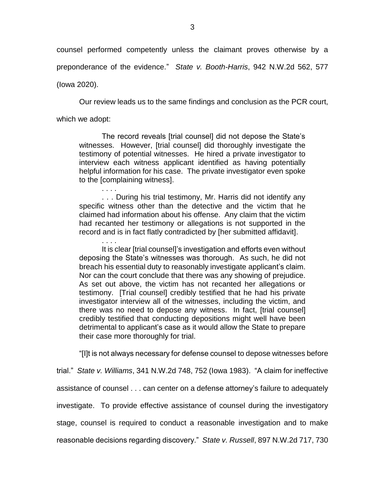counsel performed competently unless the claimant proves otherwise by a preponderance of the evidence." *State v. Booth-Harris*, 942 N.W.2d 562, 577

(Iowa 2020).

Our review leads us to the same findings and conclusion as the PCR court,

which we adopt:

The record reveals [trial counsel] did not depose the State's witnesses. However, [trial counsel] did thoroughly investigate the testimony of potential witnesses. He hired a private investigator to interview each witness applicant identified as having potentially helpful information for his case. The private investigator even spoke to the [complaining witness].

. . . . . . . During his trial testimony, Mr. Harris did not identify any specific witness other than the detective and the victim that he claimed had information about his offense. Any claim that the victim had recanted her testimony or allegations is not supported in the record and is in fact flatly contradicted by [her submitted affidavit].

. . . . It is clear [trial counsel]'s investigation and efforts even without deposing the State's witnesses was thorough. As such, he did not breach his essential duty to reasonably investigate applicant's claim. Nor can the court conclude that there was any showing of prejudice. As set out above, the victim has not recanted her allegations or testimony. [Trial counsel] credibly testified that he had his private investigator interview all of the witnesses, including the victim, and there was no need to depose any witness. In fact, [trial counsel] credibly testified that conducting depositions might well have been detrimental to applicant's case as it would allow the State to prepare their case more thoroughly for trial.

"[I]t is not always necessary for defense counsel to depose witnesses before

trial." *State v. Williams*, 341 N.W.2d 748, 752 (Iowa 1983). "A claim for ineffective

assistance of counsel . . . can center on a defense attorney's failure to adequately

investigate. To provide effective assistance of counsel during the investigatory

stage, counsel is required to conduct a reasonable investigation and to make

reasonable decisions regarding discovery." *State v. Russell*, 897 N.W.2d 717, 730